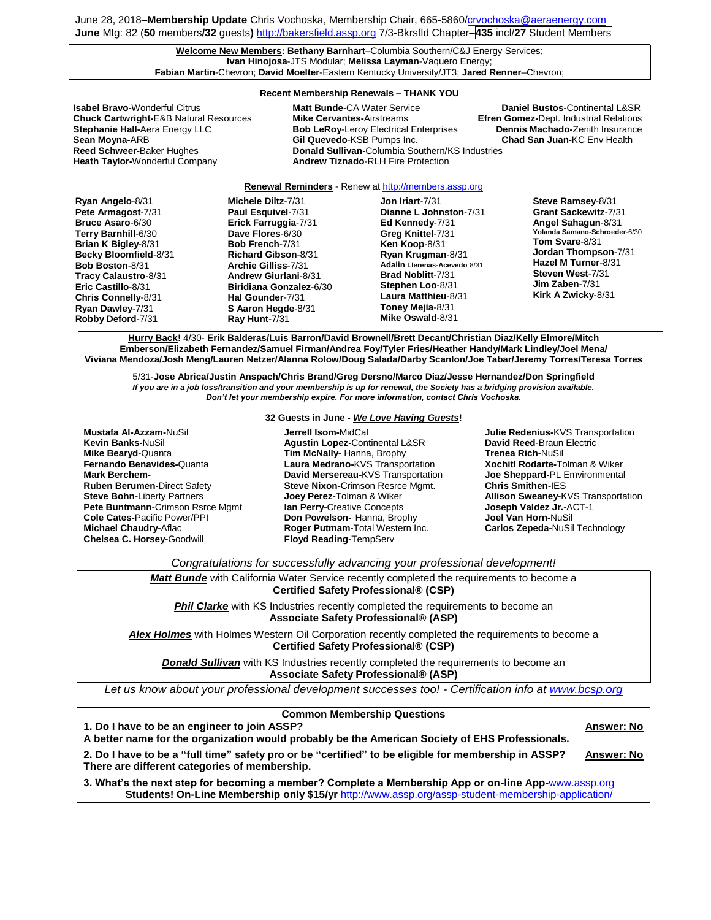#### **Welcome New Members: Bethany Barnhart**–Columbia Southern/C&J Energy Services; **Ivan Hinojosa**-JTS Modular; **Melissa Layman**-Vaquero Energy; **Fabian Martin**-Chevron; **David Moelter**-Eastern Kentucky University/JT3; **Jared Renner**–Chevron;

## **Recent Membership Renewals – THANK YOU**

**Reed Schweer-**Baker Hughes **Donald Sullivan-**Columbia Southern/KS Industries **Heath Taylor-**Wonderful Company **Andrew Tiznado**-RLH Fire Protection

**Isabel Bravo-**Wonderful Citrus **Matt Bunde-**CA Water Service **Daniel Bustos-**Continental L&SR **Chuck Cartwright-**E&B Natural Resources **Mike Cervantes-**Airstreams **Efren Gomez-**Dept. Industrial Relations **Bob LeRoy-Leroy Electrical Enterprises Sean Moyna-**ARB **Gil Quevedo**-KSB Pumps Inc. **Chad San Juan-**KC Env Health

### **Renewal Reminders** - Renew a[t http://members.assp.org](http://members.assp.org/)

**Ryan Angelo**-8/31 **Pete Armagost**-7/31 **Bruce Asaro**-6/30 **Terry Barnhill**-6/30 **Brian K Bigley**-8/31 **Becky Bloomfield**-8/31 **Bob Boston**-8/31 **Tracy Calaustro**-8/31 **Eric Castillo**-8/31 **Chris Connelly**-8/31 **Ryan Dawley**-7/31 **Robby Deford**-7/31

**Michele Diltz**-7/31 **Paul Esquivel**-7/31 **Erick Farruggia**-7/31 **Dave Flores**-6/30 **Bob French**-7/31 **Richard Gibson**-8/31 **Archie Gilliss**-7/31 **Andrew Giurlani**-8/31 **Biridiana Gonzalez**-6/30 **Hal Gounder**-7/31 **S Aaron Hegde**-8/31 **Ray Hunt**-7/31

**Jon Iriart**-7/31 **Dianne L Johnston**-7/31 **Ed Kennedy**-7/31 **Greg Knittel**-7/31 **Ken Koop**-8/31 **Ryan Krugman**-8/31 **Adalin Llerenas-Acevedo** 8/31 **Brad Noblitt**-7/31 **Stephen Loo**-8/31 **Laura Matthieu**-8/31 **Toney Mejia**-8/31 **Mike Oswald**-8/31

**Steve Ramsey**-8/31 **Grant Sackewitz**-7/31 **Angel Sahagun**-8/31 **Yolanda Samano-Schroeder**-6/30 **Tom Svare**-8/31 **Jordan Thompson**-7/31 **Hazel M Turner**-8/31 **Steven West**-7/31 **Jim Zaben**-7/31 **Kirk A Zwicky**-8/31

**Hurry Back!** 4/30- **Erik Balderas/Luis Barron/David Brownell/Brett Decant/Christian Diaz/Kelly Elmore/Mitch Emberson/Elizabeth Fernandez/Samuel Firman/Andrea Foy/Tyler Fries/Heather Handy/Mark Lindley/Joel Mena/ Viviana Mendoza/Josh Meng/Lauren Netzer/Alanna Rolow/Doug Salada/Darby Scanlon/Joe Tabar/Jeremy Torres/Teresa Torres**

5/31-**Jose Abrica/Justin Anspach/Chris Brand/Greg Dersno/Marco Diaz/Jesse Hernandez/Don Springfield** *If you are in a job loss/transition and your membership is up for renewal, the Society has a bridging provision available.* 

*Don't let your membership expire. For more information, contact Chris Vochoska.*  **-----------------------------------------------------------------------------------------------------------------------------------------------------------------------**

**Mustafa Al-Azzam-**NuSil **Kevin Banks-**NuSil **Mike Bearyd-**Quanta **Fernando Benavides-**Quanta **Mark Berchem-Ruben Berumen-**Direct Safety **Steve Bohn-**Liberty Partners **Pete Buntmann-**Crimson Rsrce Mgmt **Cole Cates-**Pacific Power/PPI **Michael Chaudry-**Aflac **Chelsea C. Horsey-**Goodwill

## **32 Guests in June -** *We Love Having Guests***!**

**Jerrell Isom-**MidCal **Agustin Lopez-**Continental L&SR **Tim McNally-** Hanna, Brophy **Laura Medrano-**KVS Transportation **David Mersereau-**KVS Transportation **Steve Nixon-**Crimson Resrce Mgmt. **Joey Perez-**Tolman & Wiker **Ian Perry-**Creative Concepts **Don Powelson-** Hanna, Brophy **Roger Putmam-**Total Western Inc. **Floyd Reading-**TempServ

**Julie Redenius-**KVS Transportation **David Reed**-Braun Electric **Trenea Rich-**NuSil **Xochitl Rodarte-**Tolman & Wiker **Joe Sheppard-**PL Emvironmental **Chris Smithen-**IES **Allison Sweaney-**KVS Transportation **Joseph Valdez Jr.-**ACT-1 **Joel Van Horn-**NuSil **Carlos Zepeda-**NuSil Technology

*Congratulations for successfully advancing your professional development!*

*Matt Bunde* with California Water Service recently completed the requirements to become a **Certified Safety Professional® (CSP) Phil Clarke** with KS Industries recently completed the requirements to become an **Associate Safety Professional® (ASP)** *Alex Holmes* with Holmes Western Oil Corporation recently completed the requirements to become a **Certified Safety Professional® (CSP) Donald Sullivan** with KS Industries recently completed the requirements to become an

**Associate Safety Professional® (ASP)**

*Let us know about your professional development successes too! - Certification info at [www.bcsp.org](http://www.bcsp.org/)*

| <b>Common Membership Questions</b>                                                                                                                    |                   |
|-------------------------------------------------------------------------------------------------------------------------------------------------------|-------------------|
| 1. Do I have to be an engineer to join ASSP?                                                                                                          | <b>Answer: No</b> |
| A better name for the organization would probably be the American Society of EHS Professionals.                                                       |                   |
| 2. Do I have to be a "full time" safety pro or be "certified" to be eligible for membership in ASSP?<br>There are different categories of membership. | <b>Answer: No</b> |
| 3. What's the next step for becoming a member? Complete a Membership App or on-line App-www.assp.org                                                  |                   |
| Students! On-Line Membership only \$15/yr http://www.assp.org/assp-student-membership-application/                                                    |                   |
|                                                                                                                                                       |                   |